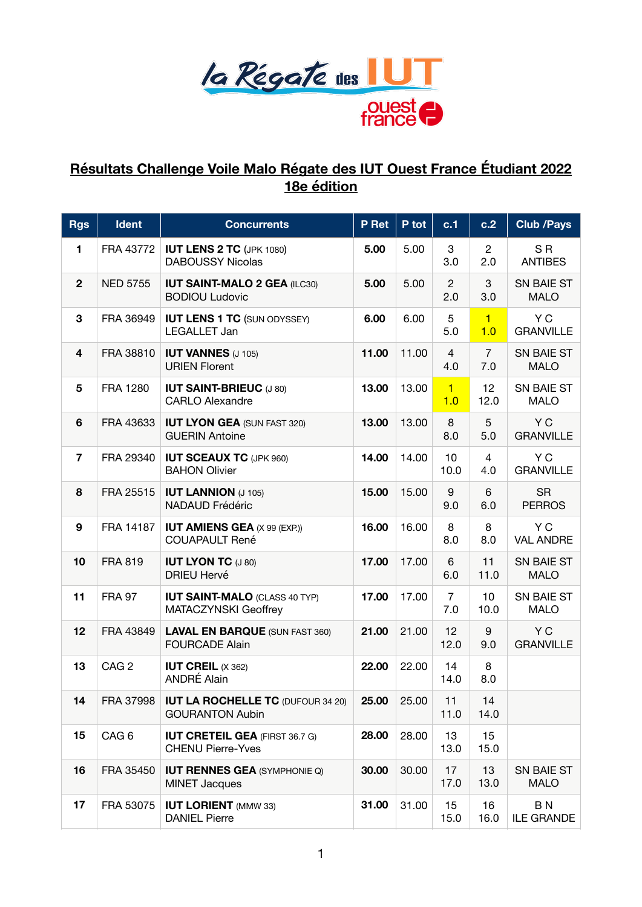

## **Résultats Challenge Voile Malo Régate des IUT Ouest France Étudiant 2022 18e édition**

| <b>Rgs</b>     | Ident            | <b>Concurrents</b>                                                 | P Ret | P tot | c.1                   | c.2                   | <b>Club /Pays</b>                   |
|----------------|------------------|--------------------------------------------------------------------|-------|-------|-----------------------|-----------------------|-------------------------------------|
| 1              | FRA 43772        | <b>IUT LENS 2 TC (JPK 1080)</b><br><b>DABOUSSY Nicolas</b>         | 5.00  | 5.00  | 3<br>3.0              | $\overline{2}$<br>2.0 | S <sub>R</sub><br><b>ANTIBES</b>    |
| $\mathbf{2}$   | <b>NED 5755</b>  | <b>IUT SAINT-MALO 2 GEA (ILC30)</b><br><b>BODIOU Ludovic</b>       | 5.00  | 5.00  | $\overline{2}$<br>2.0 | 3<br>3.0              | SN BAIE ST<br><b>MALO</b>           |
| 3              | FRA 36949        | <b>IUT LENS 1 TC (SUN ODYSSEY)</b><br>LEGALLET Jan                 | 6.00  | 6.00  | $\sqrt{5}$<br>5.0     | $\vert$ 1<br>1.0      | Y C<br><b>GRANVILLE</b>             |
| 4              | FRA 38810        | <b>IUT VANNES (J 105)</b><br><b>URIEN Florent</b>                  | 11.00 | 11.00 | 4<br>4.0              | $\overline{7}$<br>7.0 | SN BAIE ST<br><b>MALO</b>           |
| 5              | <b>FRA 1280</b>  | <b>IUT SAINT-BRIEUC (J 80)</b><br><b>CARLO Alexandre</b>           | 13.00 | 13.00 | $\mathbf{1}$<br>1.0   | 12<br>12.0            | SN BAIE ST<br><b>MALO</b>           |
| 6              | FRA 43633        | <b>IUT LYON GEA (SUN FAST 320)</b><br><b>GUERIN Antoine</b>        | 13.00 | 13.00 | 8<br>8.0              | 5<br>5.0              | Y C<br><b>GRANVILLE</b>             |
| $\overline{7}$ | FRA 29340        | <b>IUT SCEAUX TC (JPK 960)</b><br><b>BAHON Olivier</b>             | 14.00 | 14.00 | 10<br>10.0            | 4<br>4.0              | Y C<br><b>GRANVILLE</b>             |
| 8              | FRA 25515        | <b>IUT LANNION (J 105)</b><br><b>NADAUD Frédéric</b>               | 15.00 | 15.00 | 9<br>9.0              | 6<br>6.0              | <b>SR</b><br><b>PERROS</b>          |
| 9              | FRA 14187        | <b>IUT AMIENS GEA (X 99 (EXP.))</b><br><b>COUAPAULT René</b>       | 16.00 | 16.00 | 8<br>8.0              | 8<br>8.0              | Y C<br><b>VAL ANDRE</b>             |
| 10             | <b>FRA 819</b>   | <b>IUT LYON TC (J 80)</b><br><b>DRIEU Hervé</b>                    | 17.00 | 17.00 | 6<br>6.0              | 11<br>11.0            | SN BAIE ST<br><b>MALO</b>           |
| 11             | <b>FRA 97</b>    | <b>IUT SAINT-MALO (CLASS 40 TYP)</b><br>MATACZYNSKI Geoffrey       | 17.00 | 17.00 | $\overline{7}$<br>7.0 | 10<br>10.0            | SN BAIE ST<br><b>MALO</b>           |
| 12             | FRA 43849        | <b>LAVAL EN BARQUE (SUN FAST 360)</b><br><b>FOURCADE Alain</b>     | 21.00 | 21.00 | 12<br>12.0            | 9<br>9.0              | Y C<br><b>GRANVILLE</b>             |
| 13             | CAG <sub>2</sub> | <b>IUT CREIL <math>(X 362)</math></b><br>ANDRÉ Alain               | 22.00 | 22.00 | 14<br>14.0            | 8<br>8.0              |                                     |
| 14             | FRA 37998        | <b>IUT LA ROCHELLE TC (DUFOUR 34 20)</b><br><b>GOURANTON Aubin</b> | 25.00 | 25.00 | 11<br>11.0            | 14<br>14.0            |                                     |
| 15             | CAG <sub>6</sub> | <b>IUT CRETEIL GEA (FIRST 36.7 G)</b><br><b>CHENU Pierre-Yves</b>  | 28.00 | 28.00 | 13<br>13.0            | 15<br>15.0            |                                     |
| 16             | FRA 35450        | <b>IUT RENNES GEA (SYMPHONIE Q)</b><br><b>MINET Jacques</b>        | 30.00 | 30.00 | 17<br>17.0            | 13<br>13.0            | SN BAIE ST<br><b>MALO</b>           |
| 17             | FRA 53075        | <b>IUT LORIENT (MMW 33)</b><br><b>DANIEL Pierre</b>                | 31.00 | 31.00 | 15<br>15.0            | 16<br>16.0            | B <sub>N</sub><br><b>ILE GRANDE</b> |